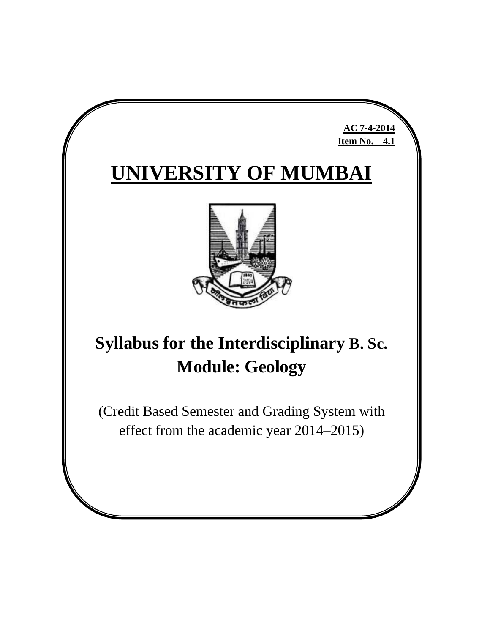# **UNIVERSITY OF MUMBAI**

**AC 7-4-2014 Item No. – 4.1**



# **Syllabus for the Interdisciplinary B. Sc. Module: Geology**

(Credit Based Semester and Grading System with effect from the academic year 2014–2015)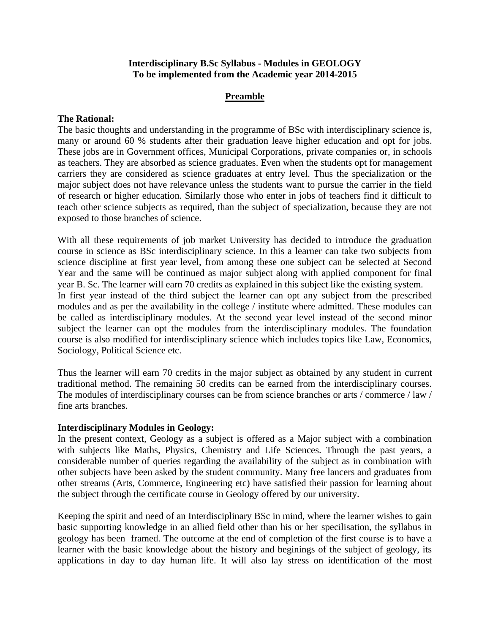#### **Interdisciplinary B.Sc Syllabus - Modules in GEOLOGY To be implemented from the Academic year 2014-2015**

## **Preamble**

#### **The Rational:**

The basic thoughts and understanding in the programme of BSc with interdisciplinary science is, many or around 60 % students after their graduation leave higher education and opt for jobs. These jobs are in Government offices, Municipal Corporations, private companies or, in schools as teachers. They are absorbed as science graduates. Even when the students opt for management carriers they are considered as science graduates at entry level. Thus the specialization or the major subject does not have relevance unless the students want to pursue the carrier in the field of research or higher education. Similarly those who enter in jobs of teachers find it difficult to teach other science subjects as required, than the subject of specialization, because they are not exposed to those branches of science.

With all these requirements of job market University has decided to introduce the graduation course in science as BSc interdisciplinary science. In this a learner can take two subjects from science discipline at first year level, from among these one subject can be selected at Second Year and the same will be continued as major subject along with applied component for final year B. Sc. The learner will earn 70 credits as explained in this subject like the existing system. In first year instead of the third subject the learner can opt any subject from the prescribed modules and as per the availability in the college / institute where admitted. These modules can be called as interdisciplinary modules. At the second year level instead of the second minor subject the learner can opt the modules from the interdisciplinary modules. The foundation course is also modified for interdisciplinary science which includes topics like Law, Economics, Sociology, Political Science etc.

Thus the learner will earn 70 credits in the major subject as obtained by any student in current traditional method. The remaining 50 credits can be earned from the interdisciplinary courses. The modules of interdisciplinary courses can be from science branches or arts / commerce / law / fine arts branches.

#### **Interdisciplinary Modules in Geology:**

In the present context, Geology as a subject is offered as a Major subject with a combination with subjects like Maths, Physics, Chemistry and Life Sciences. Through the past years, a considerable number of queries regarding the availability of the subject as in combination with other subjects have been asked by the student community. Many free lancers and graduates from other streams (Arts, Commerce, Engineering etc) have satisfied their passion for learning about the subject through the certificate course in Geology offered by our university.

Keeping the spirit and need of an Interdisciplinary BSc in mind, where the learner wishes to gain basic supporting knowledge in an allied field other than his or her specilisation, the syllabus in geology has been framed. The outcome at the end of completion of the first course is to have a learner with the basic knowledge about the history and beginings of the subject of geology, its applications in day to day human life. It will also lay stress on identification of the most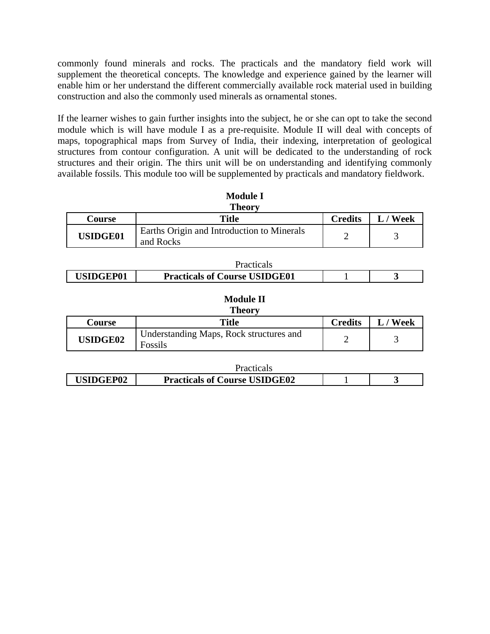commonly found minerals and rocks. The practicals and the mandatory field work will supplement the theoretical concepts. The knowledge and experience gained by the learner will enable him or her understand the different commercially available rock material used in building construction and also the commonly used minerals as ornamental stones.

If the learner wishes to gain further insights into the subject, he or she can opt to take the second module which is will have module I as a pre-requisite. Module II will deal with concepts of maps, topographical maps from Survey of India, their indexing, interpretation of geological structures from contour configuration. A unit will be dedicated to the understanding of rock structures and their origin. The thirs unit will be on understanding and identifying commonly available fossils. This module too will be supplemented by practicals and mandatory fieldwork.

| <b>Module I</b> |                                                         |                |          |  |
|-----------------|---------------------------------------------------------|----------------|----------|--|
| <b>Theory</b>   |                                                         |                |          |  |
| Course          | Title                                                   | <b>Credits</b> | L / Week |  |
| <b>USIDGE01</b> | Earths Origin and Introduction to Minerals<br>and Rocks |                |          |  |

|                 | <b>Practical</b>                     |  |
|-----------------|--------------------------------------|--|
| <b>SIDGEP01</b> | <b>Practicals of Course USIDGE01</b> |  |

#### **Module II Theory**

| .               |                                                    |                |      |  |  |  |
|-----------------|----------------------------------------------------|----------------|------|--|--|--|
| <b>Course</b>   | <b>Title</b>                                       | <b>Credits</b> | Week |  |  |  |
| <b>USIDGE02</b> | Understanding Maps, Rock structures and<br>Fossils |                |      |  |  |  |

|                  | Practicals                           |  |
|------------------|--------------------------------------|--|
| <b>USIDGEP02</b> | <b>Practicals of Course USIDGE02</b> |  |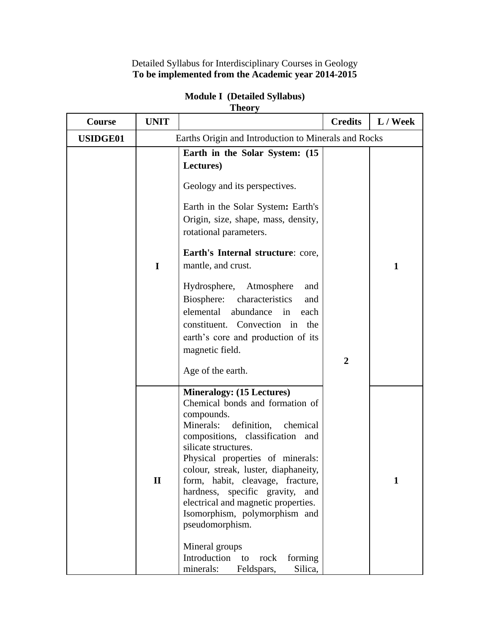Detailed Syllabus for Interdisciplinary Courses in Geology **To be implemented from the Academic year 2014-2015**

| Course          | <b>UNIT</b>  |                                                                                                                                                                                                                                                                                                                                                                                                                                                                                                                                   | <b>Credits</b> | L / Week |
|-----------------|--------------|-----------------------------------------------------------------------------------------------------------------------------------------------------------------------------------------------------------------------------------------------------------------------------------------------------------------------------------------------------------------------------------------------------------------------------------------------------------------------------------------------------------------------------------|----------------|----------|
| <b>USIDGE01</b> |              | Earths Origin and Introduction to Minerals and Rocks                                                                                                                                                                                                                                                                                                                                                                                                                                                                              |                |          |
|                 | $\mathbf I$  | Earth in the Solar System: (15<br>Lectures)<br>Geology and its perspectives.<br>Earth in the Solar System: Earth's<br>Origin, size, shape, mass, density,<br>rotational parameters.<br>Earth's Internal structure: core,<br>mantle, and crust.<br>Hydrosphere, Atmosphere<br>and<br>Biosphere: characteristics<br>and<br>elemental abundance in<br>each<br>constituent. Convection in<br>the<br>earth's core and production of its<br>magnetic field.<br>Age of the earth.                                                        | $\overline{2}$ | 1        |
|                 | $\mathbf{I}$ | <b>Mineralogy: (15 Lectures)</b><br>Chemical bonds and formation of<br>compounds.<br>definition,<br>Minerals:<br>chemical<br>compositions, classification<br>and<br>silicate structures.<br>Physical properties of minerals:<br>colour, streak, luster, diaphaneity,<br>form, habit, cleavage, fracture,<br>hardness, specific gravity,<br>and<br>electrical and magnetic properties.<br>Isomorphism, polymorphism and<br>pseudomorphism.<br>Mineral groups<br>Introduction to rock<br>forming<br>minerals: Feldspars,<br>Silica, |                | 1        |

## **Module I (Detailed Syllabus) Theory**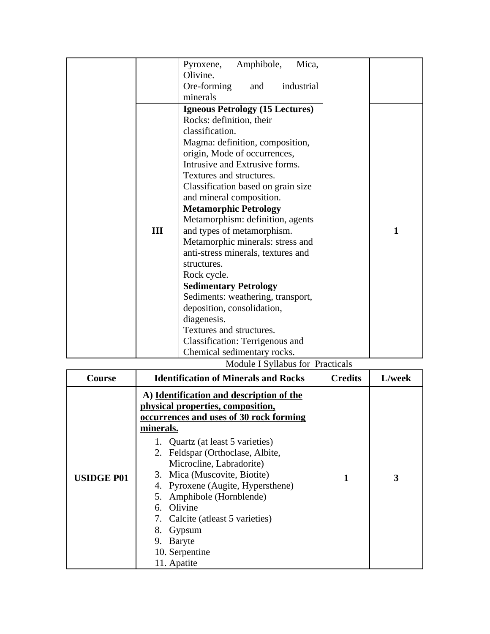|     | Amphibole,<br>Mica,<br>Pyroxene,        |
|-----|-----------------------------------------|
|     | Olivine.                                |
|     |                                         |
|     | Ore-forming<br>industrial<br>and        |
|     | minerals                                |
|     | <b>Igneous Petrology (15 Lectures)</b>  |
|     | Rocks: definition, their                |
|     | classification.                         |
|     | Magma: definition, composition,         |
|     | origin, Mode of occurrences,            |
|     | Intrusive and Extrusive forms.          |
|     | Textures and structures.                |
|     | Classification based on grain size      |
|     | and mineral composition.                |
|     | <b>Metamorphic Petrology</b>            |
|     | Metamorphism: definition, agents        |
| III | and types of metamorphism.<br>1         |
|     | Metamorphic minerals: stress and        |
|     | anti-stress minerals, textures and      |
|     | structures.                             |
|     | Rock cycle.                             |
|     | <b>Sedimentary Petrology</b>            |
|     | Sediments: weathering, transport,       |
|     | deposition, consolidation,              |
|     | diagenesis.                             |
|     | Textures and structures.                |
|     | Classification: Terrigenous and         |
|     | Chemical sedimentary rocks.             |
|     | <b>Module I Syllabus for Practicals</b> |

| Course            | <b>Identification of Minerals and Rocks</b>                                                                                                                                                                                                                                  | <b>Credits</b> | L/week |
|-------------------|------------------------------------------------------------------------------------------------------------------------------------------------------------------------------------------------------------------------------------------------------------------------------|----------------|--------|
| <b>USIDGE P01</b> | A) Identification and description of the<br>physical properties, composition,<br>occurrences and uses of 30 rock forming<br>minerals.<br>1. Quartz (at least 5 varieties)                                                                                                    |                | 3      |
|                   | 2. Feldspar (Orthoclase, Albite,<br>Microcline, Labradorite)<br>3. Mica (Muscovite, Biotite)<br>4. Pyroxene (Augite, Hypersthene)<br>5. Amphibole (Hornblende)<br>6. Olivine<br>7. Calcite (at least 5 varieties)<br>8. Gypsum<br>9. Baryte<br>10. Serpentine<br>11. Apatite | 1              |        |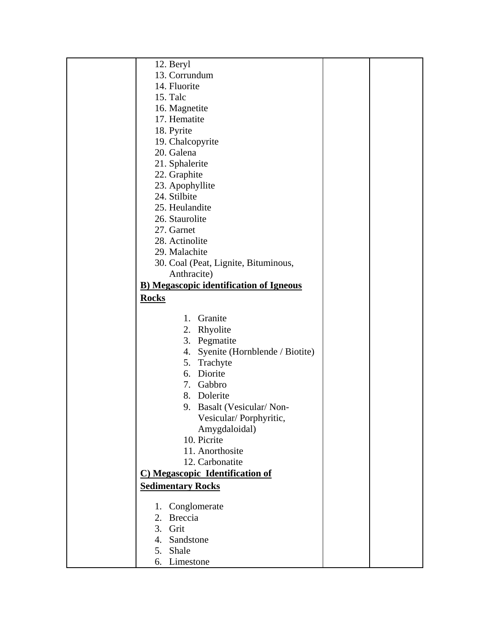| 12. Beryl                                      |  |
|------------------------------------------------|--|
| 13. Corrundum                                  |  |
| 14. Fluorite                                   |  |
| 15. Talc                                       |  |
| 16. Magnetite                                  |  |
| 17. Hematite                                   |  |
| 18. Pyrite                                     |  |
| 19. Chalcopyrite                               |  |
| 20. Galena                                     |  |
| 21. Sphalerite                                 |  |
| 22. Graphite                                   |  |
| 23. Apophyllite                                |  |
| 24. Stilbite                                   |  |
| 25. Heulandite                                 |  |
| 26. Staurolite                                 |  |
| 27. Garnet                                     |  |
| 28. Actinolite                                 |  |
| 29. Malachite                                  |  |
| 30. Coal (Peat, Lignite, Bituminous,           |  |
| Anthracite)                                    |  |
| <b>B)</b> Megascopic identification of Igneous |  |
| <b>Rocks</b>                                   |  |
|                                                |  |
| Granite<br>1.                                  |  |
| 2. Rhyolite                                    |  |
| 3. Pegmatite                                   |  |
| Syenite (Hornblende / Biotite)<br>4.           |  |
| 5. Trachyte                                    |  |
| 6. Diorite                                     |  |
| 7. Gabbro                                      |  |
| 8. Dolerite                                    |  |
| 9. Basalt (Vesicular/Non-                      |  |
| Vesicular/Porphyritic,                         |  |
| Amygdaloidal)                                  |  |
| 10. Picrite                                    |  |
| 11. Anorthosite                                |  |
| 12. Carbonatite                                |  |
| C) Megascopic Identification of                |  |
| <b>Sedimentary Rocks</b>                       |  |
|                                                |  |
| 1. Conglomerate                                |  |
| 2. Breccia                                     |  |
| 3. Grit                                        |  |
| 4. Sandstone                                   |  |
| 5. Shale                                       |  |
| 6. Limestone                                   |  |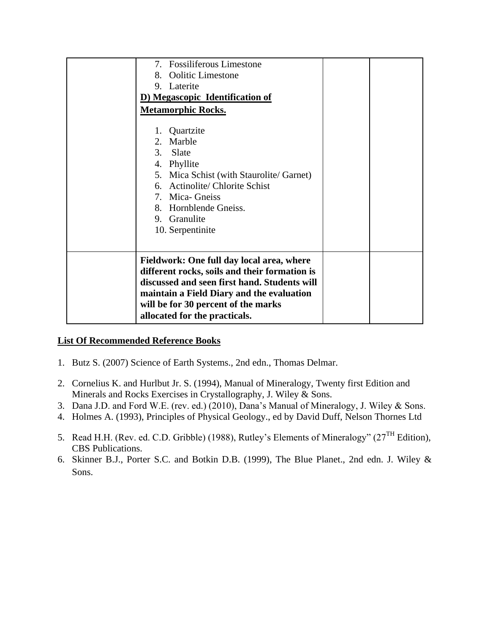# **List Of Recommended Reference Books**

- 1. Butz S. (2007) Science of Earth Systems., 2nd edn., Thomas Delmar.
- 2. Cornelius K. and Hurlbut Jr. S. (1994), Manual of Mineralogy, Twenty first Edition and Minerals and Rocks Exercises in Crystallography, J. Wiley & Sons.
- 3. Dana J.D. and Ford W.E. (rev. ed.) (2010), Dana's Manual of Mineralogy, J. Wiley & Sons.
- 4. Holmes A. (1993), Principles of Physical Geology., ed by David Duff, Nelson Thornes Ltd
- 5. Read H.H. (Rev. ed. C.D. Gribble) (1988), Rutley's Elements of Mineralogy" (27<sup>TH</sup> Edition), CBS Publications.
- 6. Skinner B.J., Porter S.C. and Botkin D.B. (1999), The Blue Planet., 2nd edn. J. Wiley & Sons.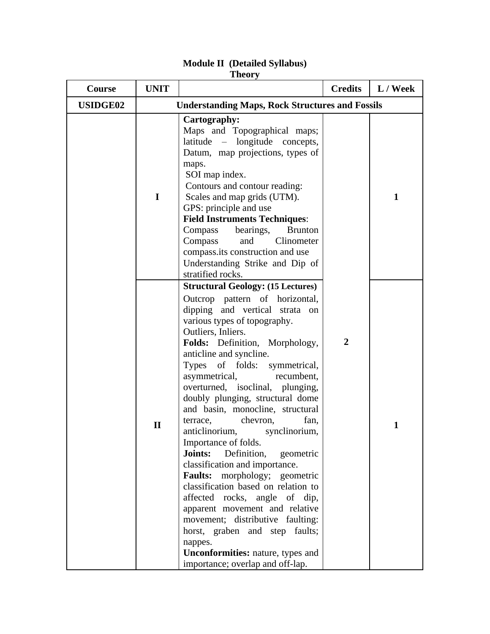| <b>Course</b>   | <b>UNIT</b>                                            |                                                                                                                                                                                                                                                                                                                                                                                                                                                                                                                                                                                                                                                                                                                                                                                                                                                                                                                   | <b>Credits</b> | $L /$ Week   |
|-----------------|--------------------------------------------------------|-------------------------------------------------------------------------------------------------------------------------------------------------------------------------------------------------------------------------------------------------------------------------------------------------------------------------------------------------------------------------------------------------------------------------------------------------------------------------------------------------------------------------------------------------------------------------------------------------------------------------------------------------------------------------------------------------------------------------------------------------------------------------------------------------------------------------------------------------------------------------------------------------------------------|----------------|--------------|
| <b>USIDGE02</b> | <b>Understanding Maps, Rock Structures and Fossils</b> |                                                                                                                                                                                                                                                                                                                                                                                                                                                                                                                                                                                                                                                                                                                                                                                                                                                                                                                   |                |              |
|                 | I                                                      | Cartography:<br>Maps and Topographical maps;<br>latitude – longitude concepts,<br>Datum, map projections, types of<br>maps.<br>SOI map index.<br>Contours and contour reading:<br>Scales and map grids (UTM).<br>GPS: principle and use<br><b>Field Instruments Techniques:</b><br>Compass<br>bearings,<br><b>Brunton</b><br>Clinometer<br>Compass<br>and<br>compass.its construction and use<br>Understanding Strike and Dip of<br>stratified rocks.                                                                                                                                                                                                                                                                                                                                                                                                                                                             |                | $\mathbf{1}$ |
|                 | $\mathbf{I}$                                           | <b>Structural Geology: (15 Lectures)</b><br>Outcrop pattern of horizontal,<br>dipping and vertical<br>strata on<br>various types of topography.<br>Outliers, Inliers.<br>Folds: Definition, Morphology,<br>anticline and syncline.<br><b>Types</b><br>of folds: symmetrical,<br>asymmetrical,<br>recumbent,<br>overturned, isoclinal, plunging,<br>doubly plunging, structural dome<br>and basin, monocline, structural<br>chevron,<br>fan,<br>terrace,<br>anticlinorium,<br>synclinorium,<br>Importance of folds.<br>Joints:<br>Definition,<br>geometric<br>classification and importance.<br><b>Faults:</b><br>morphology; geometric<br>classification based on relation to<br>affected rocks, angle of dip,<br>apparent movement and relative<br>movement; distributive faulting:<br>horst, graben and step faults;<br>nappes.<br><b>Unconformities:</b> nature, types and<br>importance; overlap and off-lap. | $\overline{2}$ | 1            |

# **Module II (Detailed Syllabus) Theory**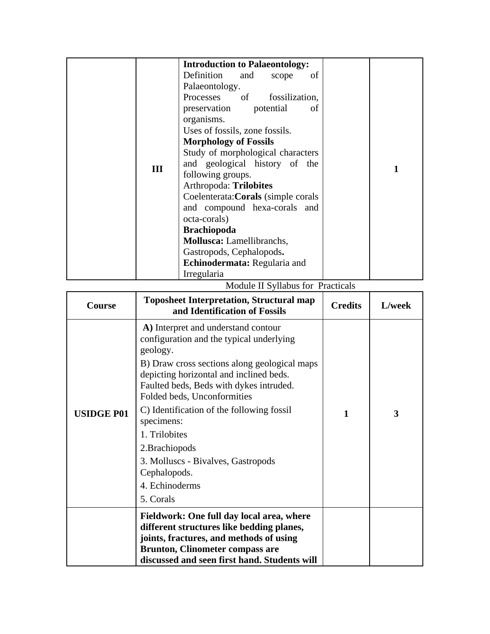|     | <b>Introduction to Palaeontology:</b> |  |
|-----|---------------------------------------|--|
|     | Definition<br>and<br>οf<br>scope      |  |
|     | Palaeontology.                        |  |
|     | Processes of<br>fossilization,        |  |
|     | preservation<br>potential<br>οf       |  |
|     | organisms.                            |  |
|     | Uses of fossils, zone fossils.        |  |
|     | <b>Morphology of Fossils</b>          |  |
|     | Study of morphological characters     |  |
| III | and geological history of the         |  |
|     | following groups.                     |  |
|     | Arthropoda: Trilobites                |  |
|     | Coelenterata: Corals (simple corals   |  |
|     | and compound hexa-corals and          |  |
|     | octa-corals)                          |  |
|     | <b>Brachiopoda</b>                    |  |
|     | <b>Mollusca:</b> Lamellibranchs,      |  |
|     | Gastropods, Cephalopods.              |  |
|     | <b>Echinodermata:</b> Regularia and   |  |
|     | Irregularia                           |  |

Module II Syllabus for Practicals

| Course            | <b>Toposheet Interpretation, Structural map</b><br>and Identification of Fossils                                                                                                                                                                                                                                                                                                                                                                    | <b>Credits</b> | L/week |
|-------------------|-----------------------------------------------------------------------------------------------------------------------------------------------------------------------------------------------------------------------------------------------------------------------------------------------------------------------------------------------------------------------------------------------------------------------------------------------------|----------------|--------|
| <b>USIDGE P01</b> | A) Interpret and understand contour<br>configuration and the typical underlying<br>geology.<br>B) Draw cross sections along geological maps<br>depicting horizontal and inclined beds.<br>Faulted beds, Beds with dykes intruded.<br>Folded beds, Unconformities<br>C) Identification of the following fossil<br>specimens:<br>1. Trilobites<br>2. Brachiopods<br>3. Molluscs - Bivalves, Gastropods<br>Cephalopods.<br>4. Echinoderms<br>5. Corals | 1              | 3      |
|                   | Fieldwork: One full day local area, where<br>different structures like bedding planes,<br>joints, fractures, and methods of using<br><b>Brunton, Clinometer compass are</b><br>discussed and seen first hand. Students will                                                                                                                                                                                                                         |                |        |